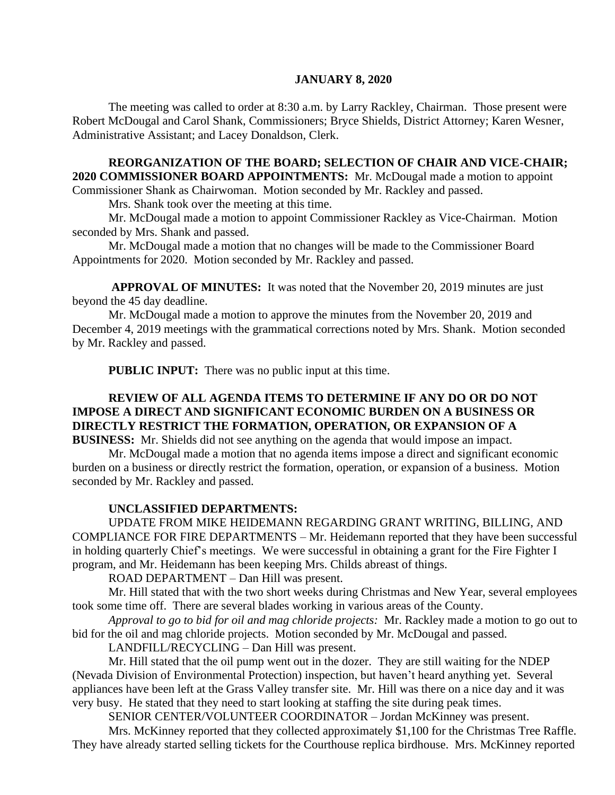#### **JANUARY 8, 2020**

The meeting was called to order at 8:30 a.m. by Larry Rackley, Chairman. Those present were Robert McDougal and Carol Shank, Commissioners; Bryce Shields, District Attorney; Karen Wesner, Administrative Assistant; and Lacey Donaldson, Clerk.

# **REORGANIZATION OF THE BOARD; SELECTION OF CHAIR AND VICE-CHAIR; 2020 COMMISSIONER BOARD APPOINTMENTS:** Mr. McDougal made a motion to appoint

Commissioner Shank as Chairwoman. Motion seconded by Mr. Rackley and passed.

Mrs. Shank took over the meeting at this time.

Mr. McDougal made a motion to appoint Commissioner Rackley as Vice-Chairman. Motion seconded by Mrs. Shank and passed.

Mr. McDougal made a motion that no changes will be made to the Commissioner Board Appointments for 2020. Motion seconded by Mr. Rackley and passed.

**APPROVAL OF MINUTES:** It was noted that the November 20, 2019 minutes are just beyond the 45 day deadline.

Mr. McDougal made a motion to approve the minutes from the November 20, 2019 and December 4, 2019 meetings with the grammatical corrections noted by Mrs. Shank. Motion seconded by Mr. Rackley and passed.

 **PUBLIC INPUT:** There was no public input at this time.

# **REVIEW OF ALL AGENDA ITEMS TO DETERMINE IF ANY DO OR DO NOT IMPOSE A DIRECT AND SIGNIFICANT ECONOMIC BURDEN ON A BUSINESS OR DIRECTLY RESTRICT THE FORMATION, OPERATION, OR EXPANSION OF A BUSINESS:** Mr. Shields did not see anything on the agenda that would impose an impact.

Mr. McDougal made a motion that no agenda items impose a direct and significant economic burden on a business or directly restrict the formation, operation, or expansion of a business. Motion seconded by Mr. Rackley and passed.

### **UNCLASSIFIED DEPARTMENTS:**

UPDATE FROM MIKE HEIDEMANN REGARDING GRANT WRITING, BILLING, AND COMPLIANCE FOR FIRE DEPARTMENTS – Mr. Heidemann reported that they have been successful in holding quarterly Chief's meetings.We were successful in obtaining a grant for the Fire Fighter I program, and Mr. Heidemann has been keeping Mrs. Childs abreast of things.

ROAD DEPARTMENT – Dan Hill was present.

Mr. Hill stated that with the two short weeks during Christmas and New Year, several employees took some time off. There are several blades working in various areas of the County.

*Approval to go to bid for oil and mag chloride projects:* Mr. Rackley made a motion to go out to bid for the oil and mag chloride projects. Motion seconded by Mr. McDougal and passed.

LANDFILL/RECYCLING – Dan Hill was present.

Mr. Hill stated that the oil pump went out in the dozer. They are still waiting for the NDEP (Nevada Division of Environmental Protection) inspection, but haven't heard anything yet. Several appliances have been left at the Grass Valley transfer site. Mr. Hill was there on a nice day and it was very busy. He stated that they need to start looking at staffing the site during peak times.

SENIOR CENTER/VOLUNTEER COORDINATOR – Jordan McKinney was present.

Mrs. McKinney reported that they collected approximately \$1,100 for the Christmas Tree Raffle. They have already started selling tickets for the Courthouse replica birdhouse. Mrs. McKinney reported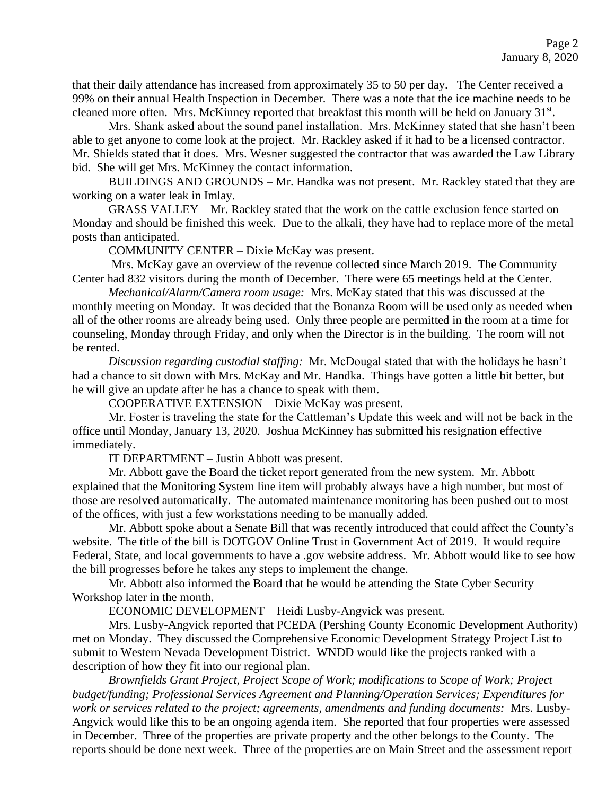that their daily attendance has increased from approximately 35 to 50 per day. The Center received a 99% on their annual Health Inspection in December. There was a note that the ice machine needs to be cleaned more often. Mrs. McKinney reported that breakfast this month will be held on January 31<sup>st</sup>.

Mrs. Shank asked about the sound panel installation. Mrs. McKinney stated that she hasn't been able to get anyone to come look at the project. Mr. Rackley asked if it had to be a licensed contractor. Mr. Shields stated that it does. Mrs. Wesner suggested the contractor that was awarded the Law Library bid. She will get Mrs. McKinney the contact information.

BUILDINGS AND GROUNDS – Mr. Handka was not present. Mr. Rackley stated that they are working on a water leak in Imlay.

GRASS VALLEY – Mr. Rackley stated that the work on the cattle exclusion fence started on Monday and should be finished this week. Due to the alkali, they have had to replace more of the metal posts than anticipated.

COMMUNITY CENTER – Dixie McKay was present.

Mrs. McKay gave an overview of the revenue collected since March 2019. The Community Center had 832 visitors during the month of December. There were 65 meetings held at the Center.

*Mechanical/Alarm/Camera room usage:* Mrs. McKay stated that this was discussed at the monthly meeting on Monday. It was decided that the Bonanza Room will be used only as needed when all of the other rooms are already being used. Only three people are permitted in the room at a time for counseling, Monday through Friday, and only when the Director is in the building. The room will not be rented.

*Discussion regarding custodial staffing:* Mr. McDougal stated that with the holidays he hasn't had a chance to sit down with Mrs. McKay and Mr. Handka. Things have gotten a little bit better, but he will give an update after he has a chance to speak with them.

COOPERATIVE EXTENSION – Dixie McKay was present.

Mr. Foster is traveling the state for the Cattleman's Update this week and will not be back in the office until Monday, January 13, 2020. Joshua McKinney has submitted his resignation effective immediately.

IT DEPARTMENT – Justin Abbott was present.

Mr. Abbott gave the Board the ticket report generated from the new system. Mr. Abbott explained that the Monitoring System line item will probably always have a high number, but most of those are resolved automatically. The automated maintenance monitoring has been pushed out to most of the offices, with just a few workstations needing to be manually added.

Mr. Abbott spoke about a Senate Bill that was recently introduced that could affect the County's website. The title of the bill is DOTGOV Online Trust in Government Act of 2019. It would require Federal, State, and local governments to have a .gov website address. Mr. Abbott would like to see how the bill progresses before he takes any steps to implement the change.

Mr. Abbott also informed the Board that he would be attending the State Cyber Security Workshop later in the month.

ECONOMIC DEVELOPMENT – Heidi Lusby-Angvick was present.

Mrs. Lusby-Angvick reported that PCEDA (Pershing County Economic Development Authority) met on Monday. They discussed the Comprehensive Economic Development Strategy Project List to submit to Western Nevada Development District. WNDD would like the projects ranked with a description of how they fit into our regional plan.

*Brownfields Grant Project, Project Scope of Work; modifications to Scope of Work; Project budget/funding; Professional Services Agreement and Planning/Operation Services; Expenditures for work or services related to the project; agreements, amendments and funding documents:* Mrs. Lusby-Angvick would like this to be an ongoing agenda item. She reported that four properties were assessed in December. Three of the properties are private property and the other belongs to the County. The reports should be done next week. Three of the properties are on Main Street and the assessment report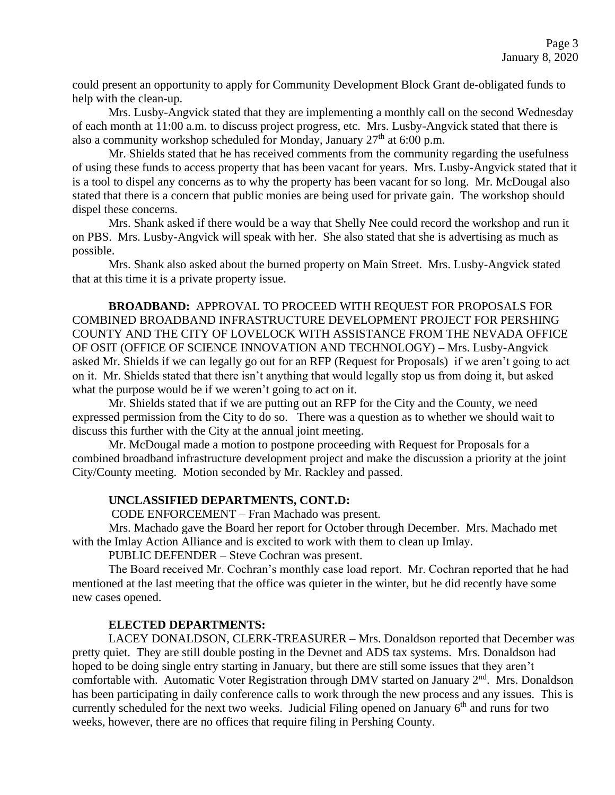could present an opportunity to apply for Community Development Block Grant de-obligated funds to help with the clean-up.

Mrs. Lusby-Angvick stated that they are implementing a monthly call on the second Wednesday of each month at 11:00 a.m. to discuss project progress, etc. Mrs. Lusby-Angvick stated that there is also a community workshop scheduled for Monday, January  $27<sup>th</sup>$  at 6:00 p.m.

Mr. Shields stated that he has received comments from the community regarding the usefulness of using these funds to access property that has been vacant for years. Mrs. Lusby-Angvick stated that it is a tool to dispel any concerns as to why the property has been vacant for so long. Mr. McDougal also stated that there is a concern that public monies are being used for private gain. The workshop should dispel these concerns.

Mrs. Shank asked if there would be a way that Shelly Nee could record the workshop and run it on PBS. Mrs. Lusby-Angvick will speak with her. She also stated that she is advertising as much as possible.

Mrs. Shank also asked about the burned property on Main Street. Mrs. Lusby-Angvick stated that at this time it is a private property issue.

**BROADBAND:** APPROVAL TO PROCEED WITH REQUEST FOR PROPOSALS FOR COMBINED BROADBAND INFRASTRUCTURE DEVELOPMENT PROJECT FOR PERSHING COUNTY AND THE CITY OF LOVELOCK WITH ASSISTANCE FROM THE NEVADA OFFICE OF OSIT (OFFICE OF SCIENCE INNOVATION AND TECHNOLOGY) – Mrs. Lusby-Angvick asked Mr. Shields if we can legally go out for an RFP (Request for Proposals) if we aren't going to act on it. Mr. Shields stated that there isn't anything that would legally stop us from doing it, but asked what the purpose would be if we weren't going to act on it.

Mr. Shields stated that if we are putting out an RFP for the City and the County, we need expressed permission from the City to do so. There was a question as to whether we should wait to discuss this further with the City at the annual joint meeting.

Mr. McDougal made a motion to postpone proceeding with Request for Proposals for a combined broadband infrastructure development project and make the discussion a priority at the joint City/County meeting. Motion seconded by Mr. Rackley and passed.

### **UNCLASSIFIED DEPARTMENTS, CONT.D:**

CODE ENFORCEMENT – Fran Machado was present.

Mrs. Machado gave the Board her report for October through December. Mrs. Machado met with the Imlay Action Alliance and is excited to work with them to clean up Imlay.

PUBLIC DEFENDER – Steve Cochran was present.

The Board received Mr. Cochran's monthly case load report. Mr. Cochran reported that he had mentioned at the last meeting that the office was quieter in the winter, but he did recently have some new cases opened.

### **ELECTED DEPARTMENTS:**

LACEY DONALDSON, CLERK-TREASURER – Mrs. Donaldson reported that December was pretty quiet. They are still double posting in the Devnet and ADS tax systems. Mrs. Donaldson had hoped to be doing single entry starting in January, but there are still some issues that they aren't comfortable with. Automatic Voter Registration through DMV started on January 2<sup>nd</sup>. Mrs. Donaldson has been participating in daily conference calls to work through the new process and any issues. This is currently scheduled for the next two weeks. Judicial Filing opened on January  $6<sup>th</sup>$  and runs for two weeks, however, there are no offices that require filing in Pershing County.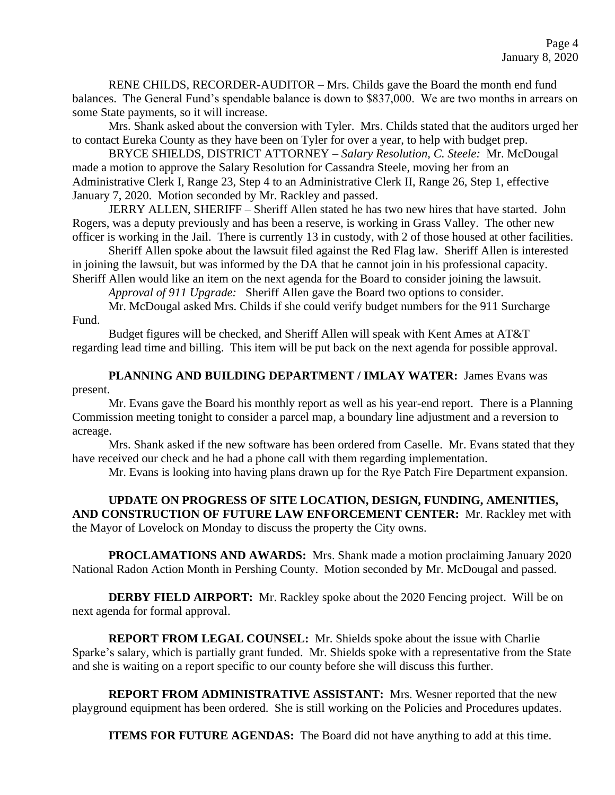RENE CHILDS, RECORDER-AUDITOR – Mrs. Childs gave the Board the month end fund balances. The General Fund's spendable balance is down to \$837,000. We are two months in arrears on some State payments, so it will increase.

Mrs. Shank asked about the conversion with Tyler. Mrs. Childs stated that the auditors urged her to contact Eureka County as they have been on Tyler for over a year, to help with budget prep.

BRYCE SHIELDS, DISTRICT ATTORNEY – *Salary Resolution, C. Steele:* Mr. McDougal made a motion to approve the Salary Resolution for Cassandra Steele, moving her from an Administrative Clerk I, Range 23, Step 4 to an Administrative Clerk II, Range 26, Step 1, effective January 7, 2020. Motion seconded by Mr. Rackley and passed.

JERRY ALLEN, SHERIFF – Sheriff Allen stated he has two new hires that have started. John Rogers, was a deputy previously and has been a reserve, is working in Grass Valley. The other new officer is working in the Jail. There is currently 13 in custody, with 2 of those housed at other facilities.

Sheriff Allen spoke about the lawsuit filed against the Red Flag law. Sheriff Allen is interested in joining the lawsuit, but was informed by the DA that he cannot join in his professional capacity. Sheriff Allen would like an item on the next agenda for the Board to consider joining the lawsuit.

*Approval of 911 Upgrade:* Sheriff Allen gave the Board two options to consider.

Mr. McDougal asked Mrs. Childs if she could verify budget numbers for the 911 Surcharge Fund.

Budget figures will be checked, and Sheriff Allen will speak with Kent Ames at AT&T regarding lead time and billing. This item will be put back on the next agenda for possible approval.

PLANNING AND BUILDING DEPARTMENT / IMLAY WATER: James Evans was present.

Mr. Evans gave the Board his monthly report as well as his year-end report. There is a Planning Commission meeting tonight to consider a parcel map, a boundary line adjustment and a reversion to acreage.

Mrs. Shank asked if the new software has been ordered from Caselle. Mr. Evans stated that they have received our check and he had a phone call with them regarding implementation.

Mr. Evans is looking into having plans drawn up for the Rye Patch Fire Department expansion.

**UPDATE ON PROGRESS OF SITE LOCATION, DESIGN, FUNDING, AMENITIES, AND CONSTRUCTION OF FUTURE LAW ENFORCEMENT CENTER:** Mr. Rackley met with the Mayor of Lovelock on Monday to discuss the property the City owns.

**PROCLAMATIONS AND AWARDS:** Mrs. Shank made a motion proclaiming January 2020 National Radon Action Month in Pershing County. Motion seconded by Mr. McDougal and passed.

**DERBY FIELD AIRPORT:** Mr. Rackley spoke about the 2020 Fencing project. Will be on next agenda for formal approval.

**REPORT FROM LEGAL COUNSEL:** Mr. Shields spoke about the issue with Charlie Sparke's salary, which is partially grant funded. Mr. Shields spoke with a representative from the State and she is waiting on a report specific to our county before she will discuss this further.

**REPORT FROM ADMINISTRATIVE ASSISTANT:** Mrs. Wesner reported that the new playground equipment has been ordered. She is still working on the Policies and Procedures updates.

**ITEMS FOR FUTURE AGENDAS:** The Board did not have anything to add at this time.